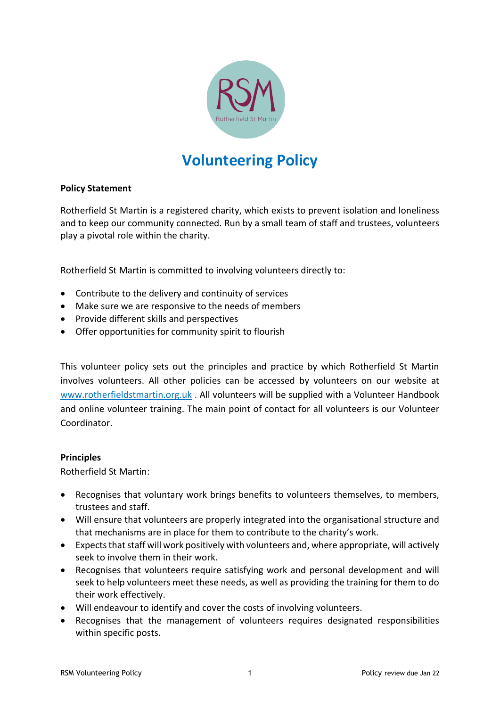

# **Volunteering Policy**

## **Policy Statement**

Rotherfield St Martin is a registered charity, which exists to prevent isolation and loneliness and to keep our community connected. Run by a small team of staff and trustees, volunteers play a pivotal role within the charity.

Rotherfield St Martin is committed to involving volunteers directly to:

- Contribute to the delivery and continuity of services
- Make sure we are responsive to the needs of members
- Provide different skills and perspectives
- Offer opportunities for community spirit to flourish

This volunteer policy sets out the principles and practice by which Rotherfield St Martin involves volunteers. All other policies can be accessed by volunteers on our website at [www.rotherfieldstmartin.org.uk](http://www.rotherfieldstmartin.org.uk/) . All volunteers will be supplied with a Volunteer Handbook and online volunteer training. The main point of contact for all volunteers is our Volunteer Coordinator.

#### **Principles**

Rotherfield St Martin:

- Recognises that voluntary work brings benefits to volunteers themselves, to members, trustees and staff.
- Will ensure that volunteers are properly integrated into the organisational structure and that mechanisms are in place for them to contribute to the charity's work.
- Expects that staff will work positively with volunteers and, where appropriate, will actively seek to involve them in their work.
- Recognises that volunteers require satisfying work and personal development and will seek to help volunteers meet these needs, as well as providing the training for them to do their work effectively.
- Will endeavour to identify and cover the costs of involving volunteers.
- Recognises that the management of volunteers requires designated responsibilities within specific posts.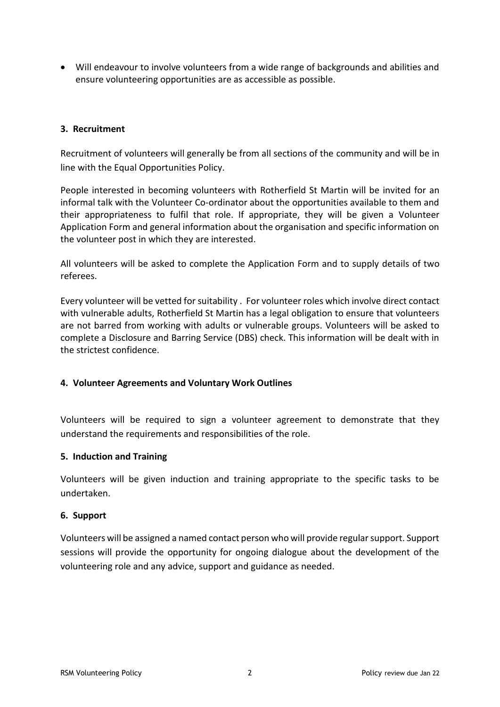• Will endeavour to involve volunteers from a wide range of backgrounds and abilities and ensure volunteering opportunities are as accessible as possible.

#### **3. Recruitment**

Recruitment of volunteers will generally be from all sections of the community and will be in line with the Equal Opportunities Policy.

People interested in becoming volunteers with Rotherfield St Martin will be invited for an informal talk with the Volunteer Co-ordinator about the opportunities available to them and their appropriateness to fulfil that role. If appropriate, they will be given a Volunteer Application Form and general information about the organisation and specific information on the volunteer post in which they are interested.

All volunteers will be asked to complete the Application Form and to supply details of two referees.

Every volunteer will be vetted for suitability . For volunteer roles which involve direct contact with vulnerable adults, Rotherfield St Martin has a legal obligation to ensure that volunteers are not barred from working with adults or vulnerable groups. Volunteers will be asked to complete a Disclosure and Barring Service (DBS) check. This information will be dealt with in the strictest confidence.

# **4. Volunteer Agreements and Voluntary Work Outlines**

Volunteers will be required to sign a volunteer agreement to demonstrate that they understand the requirements and responsibilities of the role.

#### **5. Induction and Training**

Volunteers will be given induction and training appropriate to the specific tasks to be undertaken.

#### **6. Support**

Volunteers will be assigned a named contact person who will provide regular support. Support sessions will provide the opportunity for ongoing dialogue about the development of the volunteering role and any advice, support and guidance as needed.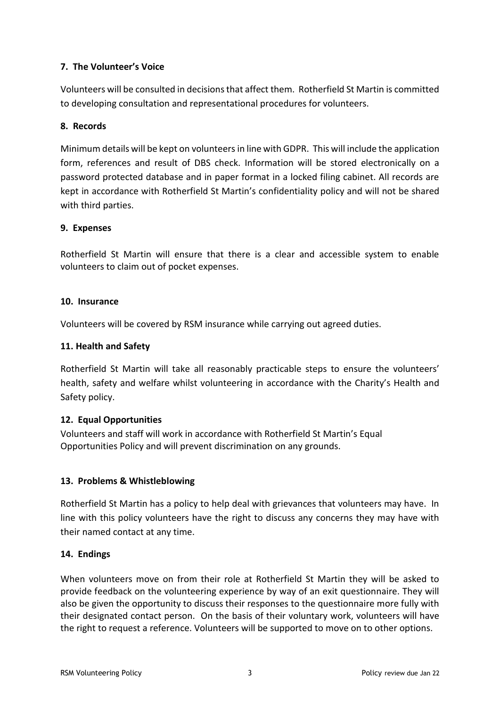# **7. The Volunteer's Voice**

Volunteers will be consulted in decisions that affect them. Rotherfield St Martin is committed to developing consultation and representational procedures for volunteers.

# **8. Records**

Minimum details will be kept on volunteersin line with GDPR. This will include the application form, references and result of DBS check. Information will be stored electronically on a password protected database and in paper format in a locked filing cabinet. All records are kept in accordance with Rotherfield St Martin's confidentiality policy and will not be shared with third parties.

#### **9. Expenses**

Rotherfield St Martin will ensure that there is a clear and accessible system to enable volunteers to claim out of pocket expenses.

#### **10. Insurance**

Volunteers will be covered by RSM insurance while carrying out agreed duties.

## **11. Health and Safety**

Rotherfield St Martin will take all reasonably practicable steps to ensure the volunteers' health, safety and welfare whilst volunteering in accordance with the Charity's Health and Safety policy.

# **12. Equal Opportunities**

Volunteers and staff will work in accordance with Rotherfield St Martin's Equal Opportunities Policy and will prevent discrimination on any grounds.

# **13. Problems & Whistleblowing**

Rotherfield St Martin has a policy to help deal with grievances that volunteers may have. In line with this policy volunteers have the right to discuss any concerns they may have with their named contact at any time.

#### **14. Endings**

When volunteers move on from their role at Rotherfield St Martin they will be asked to provide feedback on the volunteering experience by way of an exit questionnaire. They will also be given the opportunity to discuss their responses to the questionnaire more fully with their designated contact person. On the basis of their voluntary work, volunteers will have the right to request a reference. Volunteers will be supported to move on to other options.